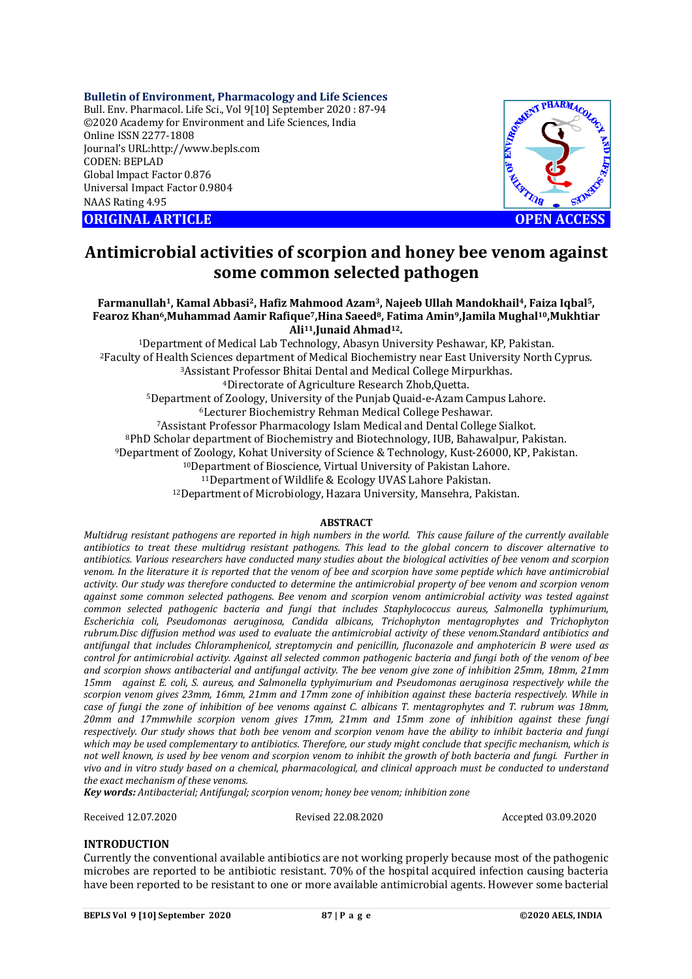#### **Bulletin of Environment, Pharmacology and Life Sciences**

Bull. Env. Pharmacol. Life Sci., Vol 9[10] September 2020 : 87-94 ©2020 Academy for Environment and Life Sciences, India Online ISSN 2277-1808 Journal's URL:<http://www.bepls.com> CODEN: BEPLAD Global Impact Factor 0.876 Universal Impact Factor 0.9804 NAAS Rating 4.95





# **Antimicrobial activities of scorpion and honey bee venom against some common selected pathogen**

#### **Farmanullah1, Kamal Abbasi2, Hafiz Mahmood Azam3, Najeeb Ullah Mandokhail4, Faiza Iqbal5, Fearoz Khan6,Muhammad Aamir Rafique7,Hina Saeed8, Fatima Amin9,Jamila Mughal10,Mukhtiar Ali11,Junaid Ahmad12.**

Department of Medical Lab Technology, Abasyn University Peshawar, KP, Pakistan. Faculty of Health Sciences department of Medical Biochemistry near East University North Cyprus. Assistant Professor Bhitai Dental and Medical College Mirpurkhas. Directorate of Agriculture Research Zhob,Quetta. Department of Zoology, University of the Punjab Quaid-e-Azam Campus Lahore. Lecturer Biochemistry Rehman Medical College Peshawar. Assistant Professor Pharmacology Islam Medical and Dental College Sialkot. PhD Scholar department of Biochemistry and Biotechnology, IUB, Bahawalpur, Pakistan. Department of Zoology, Kohat University of Science & Technology, Kust-26000, KP, Pakistan. Department of Bioscience, Virtual University of Pakistan Lahore. Department of Wildlife & Ecology UVAS Lahore Pakistan. Department of Microbiology, Hazara University, Mansehra, Pakistan.

## **ABSTRACT**

*Multidrug resistant pathogens are reported in high numbers in the world. This cause failure of the currently available antibiotics to treat these multidrug resistant pathogens. This lead to the global concern to discover alternative to antibiotics. Various researchers have conducted many studies about the biological activities of bee venom and scorpion venom. In the literature it is reported that the venom of bee and scorpion have some peptide which have antimicrobial activity. Our study was therefore conducted to determine the antimicrobial property of bee venom and scorpion venom against some common selected pathogens. Bee venom and scorpion venom antimicrobial activity was tested against common selected pathogenic bacteria and fungi that includes Staphylococcus aureus, Salmonella typhimurium, Escherichia coli, Pseudomonas aeruginosa, Candida albicans, Trichophyton mentagrophytes and Trichophyton rubrum.Disc diffusion method was used to evaluate the antimicrobial activity of these venom.Standard antibiotics and antifungal that includes Chloramphenicol, streptomycin and penicillin, fluconazole and amphotericin B were used as control for antimicrobial activity. Against all selected common pathogenic bacteria and fungi both of the venom of bee and scorpion shows antibacterial and antifungal activity. The bee venom give zone of inhibition 25mm, 18mm, 21mm 15mm against E. coli, S. aureus, and Salmonella typhyimurium and Pseudomonas aeruginosa respectively while the scorpion venom gives 23mm, 16mm, 21mm and 17mm zone of inhibition against these bacteria respectively. While in case of fungi the zone of inhibition of bee venoms against C. albicans T. mentagrophytes and T. rubrum was 18mm, 20mm and 17mmwhile scorpion venom gives 17mm, 21mm and 15mm zone of inhibition against these fungi respectively. Our study shows that both bee venom and scorpion venom have the ability to inhibit bacteria and fungi which may be used complementary to antibiotics. Therefore, our study might conclude that specific mechanism, which is not well known, is used by bee venom and scorpion venom to inhibit the growth of both bacteria and fungi. Further in vivo and in vitro study based on a chemical, pharmacological, and clinical approach must be conducted to understand the exact mechanism of these venoms.*

*Key words: Antibacterial; Antifungal; scorpion venom; honey bee venom; inhibition zone*

Received 12.07.2020 Revised 22.08.2020 Accepted 03.09.2020

## **INTRODUCTION**

Currently the conventional available antibiotics are not working properly because most of the pathogenic microbes are reported to be antibiotic resistant. 70% of the hospital acquired infection causing bacteria have been reported to be resistant to one or more available antimicrobial agents. However some bacterial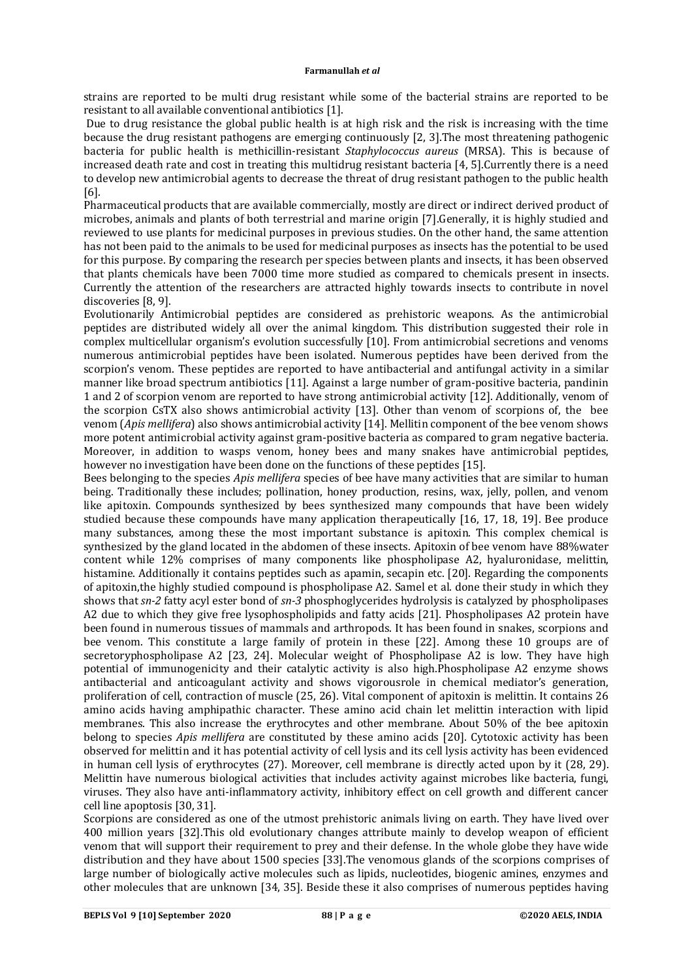strains are reported to be multi drug resistant while some of the bacterial strains are reported to be resistant to all available conventional antibiotics [1].

Due to drug resistance the global public health is at high risk and the risk is increasing with the time because the drug resistant pathogens are emerging continuously [2, 3].The most threatening pathogenic bacteria for public health is methicillin-resistant *Staphylococcus aureus* (MRSA). This is because of increased death rate and cost in treating this multidrug resistant bacteria [4, 5].Currently there is a need to develop new antimicrobial agents to decrease the threat of drug resistant pathogen to the public health [6].

Pharmaceutical products that are available commercially, mostly are direct or indirect derived product of microbes, animals and plants of both terrestrial and marine origin [7].Generally, it is highly studied and reviewed to use plants for medicinal purposes in previous studies. On the other hand, the same attention has not been paid to the animals to be used for medicinal purposes as insects has the potential to be used for this purpose. By comparing the research per species between plants and insects, it has been observed that plants chemicals have been 7000 time more studied as compared to chemicals present in insects. Currently the attention of the researchers are attracted highly towards insects to contribute in novel discoveries [8, 9].

Evolutionarily Antimicrobial peptides are considered as prehistoric weapons. As the antimicrobial peptides are distributed widely all over the animal kingdom. This distribution suggested their role in complex multicellular organism's evolution successfully [10]. From antimicrobial secretions and venoms numerous antimicrobial peptides have been isolated. Numerous peptides have been derived from the scorpion's venom. These peptides are reported to have antibacterial and antifungal activity in a similar manner like broad spectrum antibiotics [11]. Against a large number of gram-positive bacteria, pandinin 1 and 2 of scorpion venom are reported to have strong antimicrobial activity [12]. Additionally, venom of the scorpion CsTX also shows antimicrobial activity [13]. Other than venom of scorpions of, the bee venom (*Apis mellifera*) also shows antimicrobial activity [14]. Mellitin component of the bee venom shows more potent antimicrobial activity against gram-positive bacteria as compared to gram negative bacteria. Moreover, in addition to wasps venom, honey bees and many snakes have antimicrobial peptides, however no investigation have been done on the functions of these peptides [15].

Bees belonging to the species *Apis mellifera* species of bee have many activities that are similar to human being. Traditionally these includes; pollination, honey production, resins, wax, jelly, pollen, and venom like apitoxin. Compounds synthesized by bees synthesized many compounds that have been widely studied because these compounds have many application therapeutically [16, 17, 18, 19]. Bee produce many substances, among these the most important substance is apitoxin. This complex chemical is synthesized by the gland located in the abdomen of these insects. Apitoxin of bee venom have 88%water content while 12% comprises of many components like phospholipase A2, hyaluronidase, melittin, histamine. Additionally it contains peptides such as apamin, secapin etc. [20]. Regarding the components of apitoxin,the highly studied compound is phospholipase A2. Samel et al. done their study in which they shows that *sn-2* fatty acyl ester bond of *sn-3* phosphoglycerides hydrolysis is catalyzed by phospholipases A2 due to which they give free lysophospholipids and fatty acids [21]. Phospholipases A2 protein have been found in numerous tissues of mammals and arthropods. It has been found in snakes, scorpions and bee venom. This constitute a large family of protein in these [22]. Among these 10 groups are of secretoryphospholipase A2 [23, 24]. Molecular weight of Phospholipase A2 is low. They have high potential of immunogenicity and their catalytic activity is also high.Phospholipase A2 enzyme shows antibacterial and anticoagulant activity and shows vigorousrole in chemical mediator's generation, proliferation of cell, contraction of muscle (25, 26). Vital component of apitoxin is melittin. It contains 26 amino acids having amphipathic character. These amino acid chain let melittin interaction with lipid membranes. This also increase the erythrocytes and other membrane. About 50% of the bee apitoxin belong to species *Apis mellifera* are constituted by these amino acids [20]. Cytotoxic activity has been observed for melittin and it has potential activity of cell lysis and its cell lysis activity has been evidenced in human cell lysis of erythrocytes (27). Moreover, cell membrane is directly acted upon by it (28, 29). Melittin have numerous biological activities that includes activity against microbes like bacteria, fungi, viruses. They also have anti-inflammatory activity, inhibitory effect on cell growth and different cancer cell line apoptosis [30, 31].

Scorpions are considered as one of the utmost prehistoric animals living on earth. They have lived over 400 million years [32].This old evolutionary changes attribute mainly to develop weapon of efficient venom that will support their requirement to prey and their defense. In the whole globe they have wide distribution and they have about 1500 species [33].The venomous glands of the scorpions comprises of large number of biologically active molecules such as lipids, nucleotides, biogenic amines, enzymes and other molecules that are unknown [34, 35]. Beside these it also comprises of numerous peptides having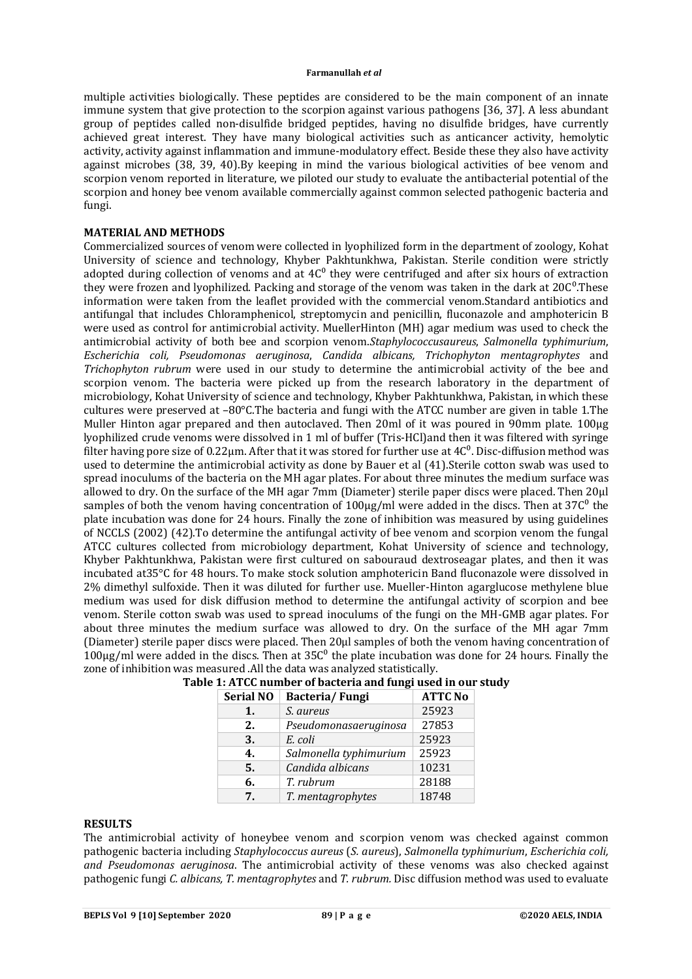multiple activities biologically. These peptides are considered to be the main component of an innate immune system that give protection to the scorpion against various pathogens [36, 37]. A less abundant group of peptides called non-disulfide bridged peptides, having no disulfide bridges, have currently achieved great interest. They have many biological activities such as anticancer activity, hemolytic activity, activity against inflammation and immune-modulatory effect. Beside these they also have activity against microbes (38, 39, 40).By keeping in mind the various biological activities of bee venom and scorpion venom reported in literature, we piloted our study to evaluate the antibacterial potential of the scorpion and honey bee venom available commercially against common selected pathogenic bacteria and fungi.

## **MATERIAL AND METHODS**

Commercialized sources of venom were collected in lyophilized form in the department of zoology, Kohat University of science and technology, Khyber Pakhtunkhwa, Pakistan. Sterile condition were strictly adopted during collection of venoms and at  $4C<sup>0</sup>$  they were centrifuged and after six hours of extraction they were frozen and lyophilized. Packing and storage of the venom was taken in the dark at 20C<sup>o</sup>. These information were taken from the leaflet provided with the commercial venom.Standard antibiotics and antifungal that includes Chloramphenicol, streptomycin and penicillin, fluconazole and amphotericin B were used as control for antimicrobial activity. MuellerHinton (MH) agar medium was used to check the antimicrobial activity of both bee and scorpion venom.*Staphylococcusaureus*, *Salmonella typhimurium*, *Escherichia coli, Pseudomonas aeruginosa*, *Candida albicans, Trichophyton mentagrophytes* and *Trichophyton rubrum* were used in our study to determine the antimicrobial activity of the bee and scorpion venom. The bacteria were picked up from the research laboratory in the department of microbiology, Kohat University of science and technology, Khyber Pakhtunkhwa, Pakistan, in which these cultures were preserved at –80°C.The bacteria and fungi with the ATCC number are given in table 1.The Muller Hinton agar prepared and then autoclaved. Then 20ml of it was poured in 90mm plate. 100μg lyophilized crude venoms were dissolved in 1 ml of buffer (Tris-HCl)and then it was filtered with syringe filter having pore size of 0.22 $\mu$ m. After that it was stored for further use at 4 $C<sup>0</sup>$ . Disc-diffusion method was used to determine the antimicrobial activity as done by Bauer et al (41).Sterile cotton swab was used to spread inoculums of the bacteria on the MH agar plates. For about three minutes the medium surface was allowed to dry. On the surface of the MH agar 7mm (Diameter) sterile paper discs were placed. Then 20μl samples of both the venom having concentration of 100µg/ml were added in the discs. Then at 37 $C^0$  the plate incubation was done for 24 hours. Finally the zone of inhibition was measured by using guidelines of NCCLS (2002) (42).To determine the antifungal activity of bee venom and scorpion venom the fungal ATCC cultures collected from microbiology department, Kohat University of science and technology, Khyber Pakhtunkhwa, Pakistan were first cultured on sabouraud dextroseagar plates, and then it was incubated at35°C for 48 hours. To make stock solution amphotericin Band fluconazole were dissolved in 2% dimethyl sulfoxide. Then it was diluted for further use. Mueller-Hinton agarglucose methylene blue medium was used for disk diffusion method to determine the antifungal activity of scorpion and bee venom. Sterile cotton swab was used to spread inoculums of the fungi on the MH-GMB agar plates. For about three minutes the medium surface was allowed to dry. On the surface of the MH agar 7mm (Diameter) sterile paper discs were placed. Then 20μl samples of both the venom having concentration of  $100\mu$ g/ml were added in the discs. Then at 35C<sup>0</sup> the plate incubation was done for 24 hours. Finally the zone of inhibition was measured .All the data was analyzed statistically.

| <b>Serial NO</b> | Bacteria/Fungi         | <b>ATTC No</b> |
|------------------|------------------------|----------------|
| 1.               | S. aureus              | 25923          |
| 2.               | Pseudomonasaeruginosa  | 27853          |
| 3.               | E. coli                | 25923          |
| 4.               | Salmonella typhimurium | 25923          |
| 5.               | Candida albicans       | 10231          |
| 6.               | T. rubrum              | 28188          |
| 7.               | T. mentagrophytes      | 18748          |

|  |  |  |                     |  | Table 1: ATCC number of bacteria and fungi used in our study |  |
|--|--|--|---------------------|--|--------------------------------------------------------------|--|
|  |  |  | _ _ _ _ _ _ _ _ _ _ |  |                                                              |  |

# **RESULTS**

The antimicrobial activity of honeybee venom and scorpion venom was checked against common pathogenic bacteria including *Staphylococcus aureus* (*S. aureus*), *Salmonella typhimurium*, *Escherichia coli, and Pseudomonas aeruginosa*. The antimicrobial activity of these venoms was also checked against pathogenic fungi *C. albicans, T. mentagrophytes* and *T. rubrum.* Disc diffusion method was used to evaluate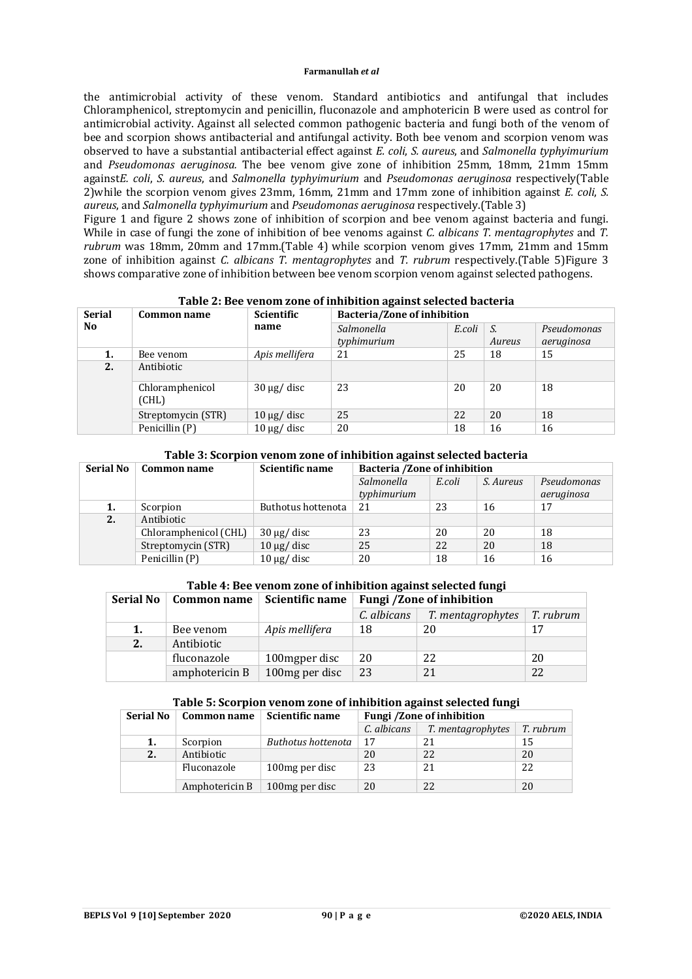the antimicrobial activity of these venom. Standard antibiotics and antifungal that includes Chloramphenicol, streptomycin and penicillin, fluconazole and amphotericin B were used as control for antimicrobial activity. Against all selected common pathogenic bacteria and fungi both of the venom of bee and scorpion shows antibacterial and antifungal activity. Both bee venom and scorpion venom was observed to have a substantial antibacterial effect against *E. coli*, *S. aureus*, and *Salmonella typhyimurium* and *Pseudomonas aeruginosa.* The bee venom give zone of inhibition 25mm, 18mm, 21mm 15mm against*E. coli*, *S. aureus*, and *Salmonella typhyimurium* and *Pseudomonas aeruginosa* respectively(Table 2)while the scorpion venom gives 23mm, 16mm, 21mm and 17mm zone of inhibition against *E. coli*, *S. aureus*, and *Salmonella typhyimurium* and *Pseudomonas aeruginosa* respectively.(Table 3)

Figure 1 and figure 2 shows zone of inhibition of scorpion and bee venom against bacteria and fungi. While in case of fungi the zone of inhibition of bee venoms against *C. albicans T. mentagrophytes* and *T. rubrum* was 18mm, 20mm and 17mm.(Table 4) while scorpion venom gives 17mm, 21mm and 15mm zone of inhibition against *C. albicans T. mentagrophytes* and *T. rubrum* respectively.(Table 5)Figure 3 shows comparative zone of inhibition between bee venom scorpion venom against selected pathogens.

| <b>Serial</b> | Common name              | <b>Scientific</b> | Bacteria/Zone of inhibition |        |              |                           |  |  |
|---------------|--------------------------|-------------------|-----------------------------|--------|--------------|---------------------------|--|--|
| No.           |                          | name              | Salmonella<br>typhimurium   | E.coli | S.<br>Aureus | Pseudomonas<br>aeruginosa |  |  |
| 1.            | Bee venom                | Apis mellifera    | 21                          | 25     | 18           | 15                        |  |  |
| 2.            | Antibiotic               |                   |                             |        |              |                           |  |  |
|               | Chloramphenicol<br>(CHL) | $30 \mu g$ disc   | 23                          | 20     | 20           | 18                        |  |  |
|               | Streptomycin (STR)       | $10 \mu g$ disc   | 25                          | 22     | 20           | 18                        |  |  |
|               | Penicillin (P)           | $10 \mu g$ disc   | 20                          | 18     | 16           | 16                        |  |  |

## **Table 2: Bee venom zone of inhibition against selected bacteria**

## **Table 3: Scorpion venom zone of inhibition against selected bacteria**

| <b>Serial No</b> | Common name                    | Scientific name   | Bacteria /Zone of inhibition |        |           |             |  |
|------------------|--------------------------------|-------------------|------------------------------|--------|-----------|-------------|--|
|                  |                                |                   | Salmonella                   | E.coli | S. Aureus | Pseudomonas |  |
|                  |                                |                   | typhimurium                  |        |           | aeruginosa  |  |
| 1.               | Buthotus hottenota<br>Scorpion |                   | 21                           | 23     | 16        | 17          |  |
| 2.               | Antibiotic                     |                   |                              |        |           |             |  |
|                  | Chloramphenicol (CHL)          | $30 \mu g /$ disc | 23                           | 20     | 20        | 18          |  |
|                  | Streptomycin (STR)             | $10 \mu g$ disc   | 25                           | 22     | 20        | 18          |  |
|                  | Penicillin (P)                 | $10 \mu g$ disc   | 20                           | 18     | 16        | 16          |  |

## **Table 4: Bee venom zone of inhibition against selected fungi**

| <b>Serial No</b> | Common name    | Scientific name | <b>Fungi /Zone of inhibition</b> |                   |           |  |  |
|------------------|----------------|-----------------|----------------------------------|-------------------|-----------|--|--|
|                  |                |                 | C. albicans                      | T. mentagrophytes | T. rubrum |  |  |
| 1.               | Bee venom      | Apis mellifera  | 18                               | 20                | 17        |  |  |
| 2.               | Antibiotic     |                 |                                  |                   |           |  |  |
|                  | fluconazole    | 100 mg per disc | 20                               | 22                | 20        |  |  |
|                  | amphotericin B | 100 mg per disc | 23                               | 21                | 22        |  |  |

#### **Table 5: Scorpion venom zone of inhibition against selected fungi**

| <b>Serial No</b> | Common name    | Scientific name    | <b>Fungi /Zone of inhibition</b> |                   |           |  |  |
|------------------|----------------|--------------------|----------------------------------|-------------------|-----------|--|--|
|                  |                |                    | C. albicans                      | T. mentagrophytes | T. rubrum |  |  |
| 1.               | Scorpion       | Buthotus hottenota | 17                               | 21                | 15        |  |  |
| 2.               | Antibiotic     |                    | 20                               | 22                | 20        |  |  |
|                  | Fluconazole    | 100 mg per disc    | 23                               | 21                | 22        |  |  |
|                  | Amphotericin B | 100 mg per disc    | 20                               | 22                | 20        |  |  |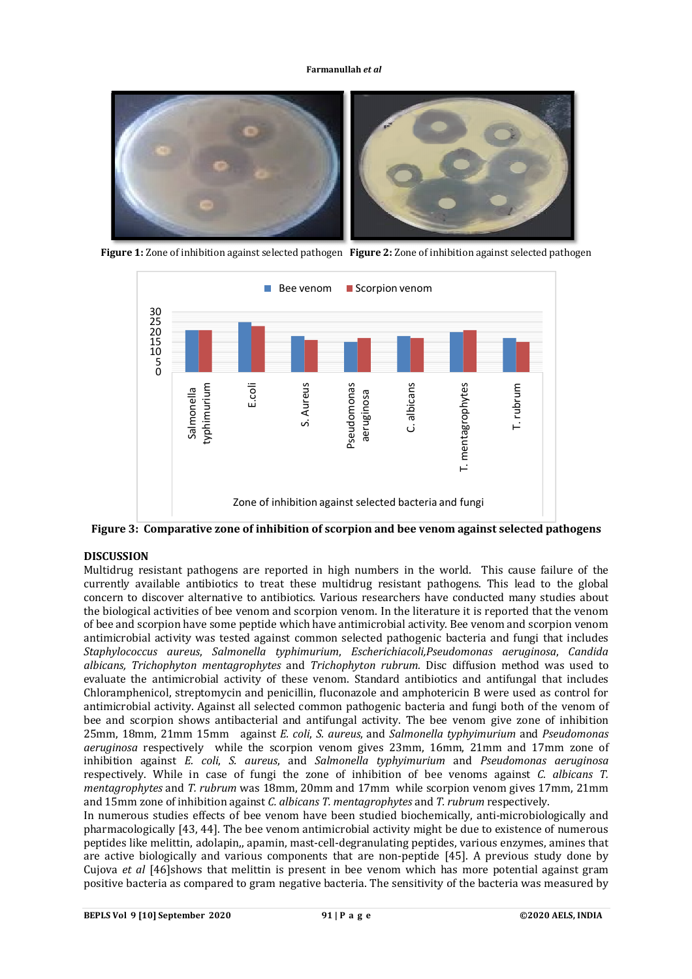

**Figure 1:** Zone of inhibition against selected pathogen **Figure 2:** Zone of inhibition against selected pathogen



**Figure 3: Comparative zone of inhibition of scorpion and bee venom against selected pathogens**

# **DISCUSSION**

Multidrug resistant pathogens are reported in high numbers in the world. This cause failure of the currently available antibiotics to treat these multidrug resistant pathogens. This lead to the global concern to discover alternative to antibiotics. Various researchers have conducted many studies about the biological activities of bee venom and scorpion venom. In the literature it is reported that the venom of bee and scorpion have some peptide which have antimicrobial activity. Bee venom and scorpion venom antimicrobial activity was tested against common selected pathogenic bacteria and fungi that includes *Staphylococcus aureus*, *Salmonella typhimurium*, *Escherichiacoli,Pseudomonas aeruginosa*, *Candida albicans, Trichophyton mentagrophytes* and *Trichophyton rubrum.* Disc diffusion method was used to evaluate the antimicrobial activity of these venom. Standard antibiotics and antifungal that includes Chloramphenicol, streptomycin and penicillin, fluconazole and amphotericin B were used as control for antimicrobial activity. Against all selected common pathogenic bacteria and fungi both of the venom of bee and scorpion shows antibacterial and antifungal activity. The bee venom give zone of inhibition 25mm, 18mm, 21mm 15mm against *E. coli*, *S. aureus*, and *Salmonella typhyimurium* and *Pseudomonas aeruginosa* respectively while the scorpion venom gives 23mm, 16mm, 21mm and 17mm zone of inhibition against *E. coli*, *S. aureus*, and *Salmonella typhyimurium* and *Pseudomonas aeruginosa*  respectively. While in case of fungi the zone of inhibition of bee venoms against *C. albicans T. mentagrophytes* and *T. rubrum* was 18mm, 20mm and 17mm while scorpion venom gives 17mm, 21mm and 15mm zone of inhibition against *C. albicans T. mentagrophytes* and *T. rubrum* respectively.

In numerous studies effects of bee venom have been studied biochemically, anti-microbiologically and pharmacologically [43, 44]. The bee venom antimicrobial activity might be due to existence of numerous peptides like melittin, adolapin,, apamin, mast-cell-degranulating peptides, various enzymes, amines that are active biologically and various components that are non-peptide [45]. A previous study done by Cujova *et al* [46]shows that melittin is present in bee venom which has more potential against gram positive bacteria as compared to gram negative bacteria. The sensitivity of the bacteria was measured by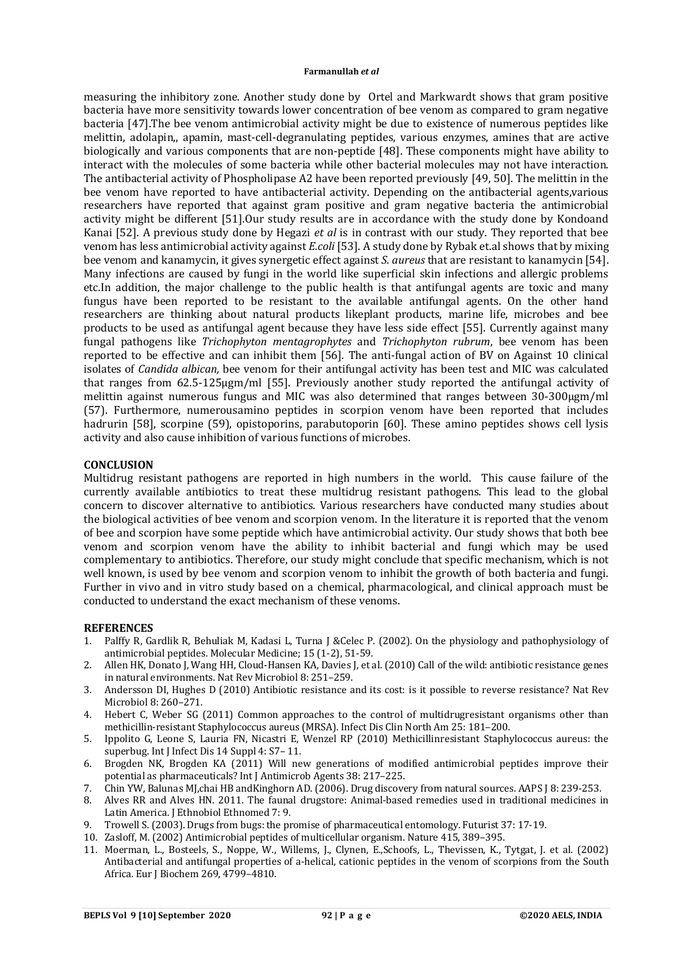measuring the inhibitory zone. Another study done by Ortel and Markwardt shows that gram positive bacteria have more sensitivity towards lower concentration of bee venom as compared to gram negative bacteria [47].The bee venom antimicrobial activity might be due to existence of numerous peptides like melittin, adolapin,, apamin, mast-cell-degranulating peptides, various enzymes, amines that are active biologically and various components that are non-peptide [48]. These components might have ability to interact with the molecules of some bacteria while other bacterial molecules may not have interaction. The antibacterial activity of Phospholipase A2 have been reported previously [49, 50]. The melittin in the bee venom have reported to have antibacterial activity. Depending on the antibacterial agents,various researchers have reported that against gram positive and gram negative bacteria the antimicrobial activity might be different [51].Our study results are in accordance with the study done by Kondoand Kanai [52]. A previous study done by Hegazi *et al* is in contrast with our study. They reported that bee venom has less antimicrobial activity against *E.coli* [53]. A study done by Rybak et.al shows that by mixing bee venom and kanamycin, it gives synergetic effect against *S. aureus* that are resistant to kanamycin [54]. Many infections are caused by fungi in the world like superficial skin infections and allergic problems etc.In addition, the major challenge to the public health is that antifungal agents are toxic and many fungus have been reported to be resistant to the available antifungal agents. On the other hand researchers are thinking about natural products likeplant products, marine life, microbes and bee products to be used as antifungal agent because they have less side effect [55]. Currently against many fungal pathogens like *Trichophyton mentagrophytes* and *Trichophyton rubrum*, bee venom has been reported to be effective and can inhibit them [56]. The anti-fungal action of BV on Against 10 clinical isolates of *Candida albican,* bee venom for their antifungal activity has been test and MIC was calculated that ranges from 62.5-125μgm/ml [55]. Previously another study reported the antifungal activity of melittin against numerous fungus and MIC was also determined that ranges between 30-300μgm/ml (57). Furthermore, numerousamino peptides in scorpion venom have been reported that includes hadrurin [58], scorpine (59), opistoporins, parabutoporin [60]. These amino peptides shows cell lysis activity and also cause inhibition of various functions of microbes.

## **CONCLUSION**

Multidrug resistant pathogens are reported in high numbers in the world. This cause failure of the currently available antibiotics to treat these multidrug resistant pathogens. This lead to the global concern to discover alternative to antibiotics. Various researchers have conducted many studies about the biological activities of bee venom and scorpion venom. In the literature it is reported that the venom of bee and scorpion have some peptide which have antimicrobial activity. Our study shows that both bee venom and scorpion venom have the ability to inhibit bacterial and fungi which may be used complementary to antibiotics. Therefore, our study might conclude that specific mechanism, which is not well known, is used by bee venom and scorpion venom to inhibit the growth of both bacteria and fungi. Further in vivo and in vitro study based on a chemical, pharmacological, and clinical approach must be conducted to understand the exact mechanism of these venoms.

#### **REFERENCES**

- 1. Palffy R, Gardlik R, Behuliak M, Kadasi L, Turna J &Celec P. (2002). On the physiology and pathophysiology of antimicrobial peptides. Molecular Medicine; 15 (1-2), 51-59.
- 2. Allen HK, Donato J, Wang HH, Cloud-Hansen KA, Davies J, et al. (2010) Call of the wild: antibiotic resistance genes in natural environments. Nat Rev Microbiol 8: 251–259.
- 3. Andersson DI, Hughes D (2010) Antibiotic resistance and its cost: is it possible to reverse resistance? Nat Rev Microbiol 8: 260–271.
- 4. Hebert C, Weber SG (2011) Common approaches to the control of multidrugresistant organisms other than methicillin-resistant Staphylococcus aureus (MRSA). Infect Dis Clin North Am 25: 181–200.
- 5. Ippolito G, Leone S, Lauria FN, Nicastri E, Wenzel RP (2010) Methicillinresistant Staphylococcus aureus: the superbug. Int J Infect Dis 14 Suppl 4: S7– 11.
- 6. Brogden NK, Brogden KA (2011) Will new generations of modified antimicrobial peptides improve their potential as pharmaceuticals? Int J Antimicrob Agents 38: 217–225.
- 7. Chin YW, Balunas MJ,chai HB andKinghorn AD. (2006). Drug discovery from natural sources. AAPS J 8: 239-253.
- 8. Alves RR and Alves HN. 2011. The faunal drugstore: Animal-based remedies used in traditional medicines in Latin America. J Ethnobiol Ethnomed 7: 9.
- 9. Trowell S. (2003). Drugs from bugs: the promise of pharmaceutical entomology. Futurist 37: 17-19.
- 10. Zasloff, M. (2002) Antimicrobial peptides of multicellular organism. Nature 415, 389–395.
- 11. Moerman, L., Bosteels, S., Noppe, W., Willems, J., Clynen, E.,Schoofs, L., Thevissen, K., Tytgat, J. et al. (2002) Antibacterial and antifungal properties of a-helical, cationic peptides in the venom of scorpions from the South Africa. Eur J Biochem 269, 4799–4810.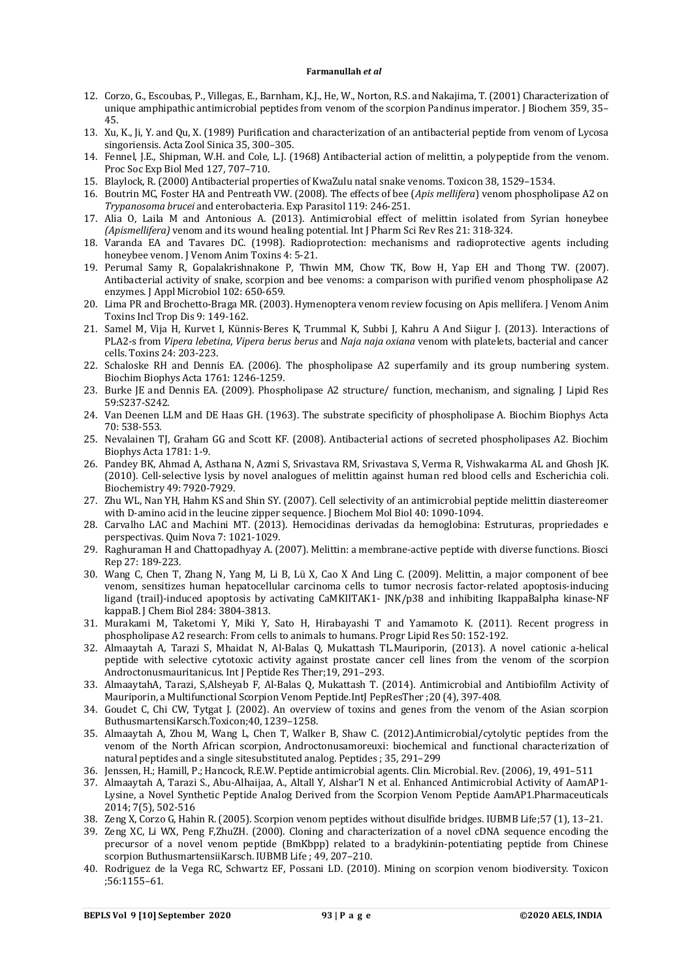- 12. Corzo, G., Escoubas, P., Villegas, E., Barnham, K.J., He, W., Norton, R.S. and Nakajima, T. (2001) Characterization of unique amphipathic antimicrobial peptides from venom of the scorpion Pandinus imperator. J Biochem 359, 35– 45.
- 13. Xu, K., Ji, Y. and Qu, X. (1989) Purification and characterization of an antibacterial peptide from venom of Lycosa singoriensis. Acta Zool Sinica 35, 300–305.
- 14. Fennel, J.E., Shipman, W.H. and Cole, L.J. (1968) Antibacterial action of melittin, a polypeptide from the venom. Proc Soc Exp Biol Med 127, 707–710.
- 15. Blaylock, R. (2000) Antibacterial properties of KwaZulu natal snake venoms. Toxicon 38, 1529–1534.
- 16. Boutrin MC, Foster HA and Pentreath VW. (2008). The effects of bee (*Apis mellifera*) venom phospholipase A2 on *Trypanosoma brucei* and enterobacteria. Exp Parasitol 119: 246-251.
- 17. Alia O, Laila M and Antonious A. (2013). Antimicrobial effect of melittin isolated from Syrian honeybee *(Apismellifera)* venom and its wound healing potential. Int J Pharm Sci Rev Res 21: 318-324.
- 18. Varanda EA and Tavares DC. (1998). Radioprotection: mechanisms and radioprotective agents including honeybee venom. J Venom Anim Toxins 4: 5-21.
- 19. Perumal Samy R, Gopalakrishnakone P, Thwin MM, Chow TK, Bow H, Yap EH and Thong TW. (2007). Antibacterial activity of snake, scorpion and bee venoms: a comparison with purified venom phospholipase A2 enzymes. J Appl Microbiol 102: 650-659.
- 20. Lima PR and Brochetto-Braga MR. (2003). Hymenoptera venom review focusing on Apis mellifera. J Venom Anim Toxins Incl Trop Dis 9: 149-162.
- 21. Samel M, Vija H, Kurvet I, Künnis-Beres K, Trummal K, Subbi J, Kahru A And Siigur J. (2013). Interactions of PLA2-s from *Vipera lebetina*, *Vipera berus berus* and *Naja naja oxiana* venom with platelets, bacterial and cancer cells. Toxins 24: 203-223.
- 22. Schaloske RH and Dennis EA. (2006). The phospholipase A2 superfamily and its group numbering system. Biochim Biophys Acta 1761: 1246-1259.
- 23. Burke JE and Dennis EA. (2009). Phospholipase A2 structure/ function, mechanism, and signaling. J Lipid Res 59:S237-S242.
- 24. Van Deenen LLM and DE Haas GH. (1963). The substrate specificity of phospholipase A. Biochim Biophys Acta 70: 538-553.
- 25. Nevalainen TJ, Graham GG and Scott KF. (2008). Antibacterial actions of secreted phospholipases A2. Biochim Biophys Acta 1781: 1-9.
- 26. Pandey BK, Ahmad A, Asthana N, Azmi S, Srivastava RM, Srivastava S, Verma R, Vishwakarma AL and Ghosh JK. (2010). Cell-selective lysis by novel analogues of melittin against human red blood cells and Escherichia coli. Biochemistry 49: 7920-7929.
- 27. Zhu WL, Nan YH, Hahm KS and Shin SY. (2007). Cell selectivity of an antimicrobial peptide melittin diastereomer with D-amino acid in the leucine zipper sequence. J Biochem Mol Biol 40: 1090-1094.
- 28. Carvalho LAC and Machini MT. (2013). Hemocidinas derivadas da hemoglobina: Estruturas, propriedades e perspectivas. Quim Nova 7: 1021-1029.
- 29. Raghuraman H and Chattopadhyay A. (2007). Melittin: a membrane-active peptide with diverse functions. Biosci Rep 27: 189-223.
- 30. Wang C, Chen T, Zhang N, Yang M, Li B, Lü X, Cao X And Ling C. (2009). Melittin, a major component of bee venom, sensitizes human hepatocellular carcinoma cells to tumor necrosis factor-related apoptosis-inducing ligand (trail)-induced apoptosis by activating CaMKIITAK1- JNK/p38 and inhibiting IkappaBalpha kinase-NF kappaB. J Chem Biol 284: 3804-3813.
- 31. Murakami M, Taketomi Y, Miki Y, Sato H, Hirabayashi T and Yamamoto K. (2011). Recent progress in phospholipase A2 research: From cells to animals to humans. Progr Lipid Res 50: 152-192.
- 32. Almaaytah A, Tarazi S, Mhaidat N, Al-Balas Q, Mukattash TL.Mauriporin, (2013). A novel cationic a-helical peptide with selective cytotoxic activity against prostate cancer cell lines from the venom of the scorpion Androctonusmauritanicus. Int J Peptide Res Ther;19, 291–293.
- 33. AlmaaytahA, Tarazi, S,Alsheyab F, Al-Balas Q, Mukattash T. (2014). Antimicrobial and Antibiofilm Activity of Mauriporin, a Multifunctional Scorpion Venom Peptide.IntJ PepResTher ;20 (4), 397-408.
- 34. Goudet C, Chi CW, Tytgat J. (2002). An overview of toxins and genes from the venom of the Asian scorpion ButhusmartensiKarsch.Toxicon;40, 1239–1258.
- 35. Almaaytah A, Zhou M, Wang L, Chen T, Walker B, Shaw C. (2012).Antimicrobial/cytolytic peptides from the venom of the North African scorpion, Androctonusamoreuxi: biochemical and functional characterization of natural peptides and a single sitesubstituted analog. Peptides ; 35, 291–299
- 36. Jenssen, H.; Hamill, P.; Hancock, R.E.W. Peptide antimicrobial agents. Clin. Microbial. Rev. (2006), 19, 491–511
- 37. Almaaytah A, Tarazi S., Abu-Alhaijaa, A., Altall Y, Alshar'I N et al. Enhanced Antimicrobial Activity of AamAP1- Lysine, a Novel Synthetic Peptide Analog Derived from the Scorpion Venom Peptide AamAP1.Pharmaceuticals 2014; 7(5), 502-516
- 38. Zeng X, Corzo G, Hahin R. (2005). Scorpion venom peptides without disulfide bridges. IUBMB Life;57 (1), 13–21.
- 39. Zeng XC, Li WX, Peng F,ZhuZH. (2000). Cloning and characterization of a novel cDNA sequence encoding the precursor of a novel venom peptide (BmKbpp) related to a bradykinin-potentiating peptide from Chinese scorpion ButhusmartensiiKarsch. IUBMB Life ; 49, 207–210.
- 40. Rodriguez de la Vega RC, Schwartz EF, Possani LD. (2010). Mining on scorpion venom biodiversity. Toxicon ;56:1155–61.